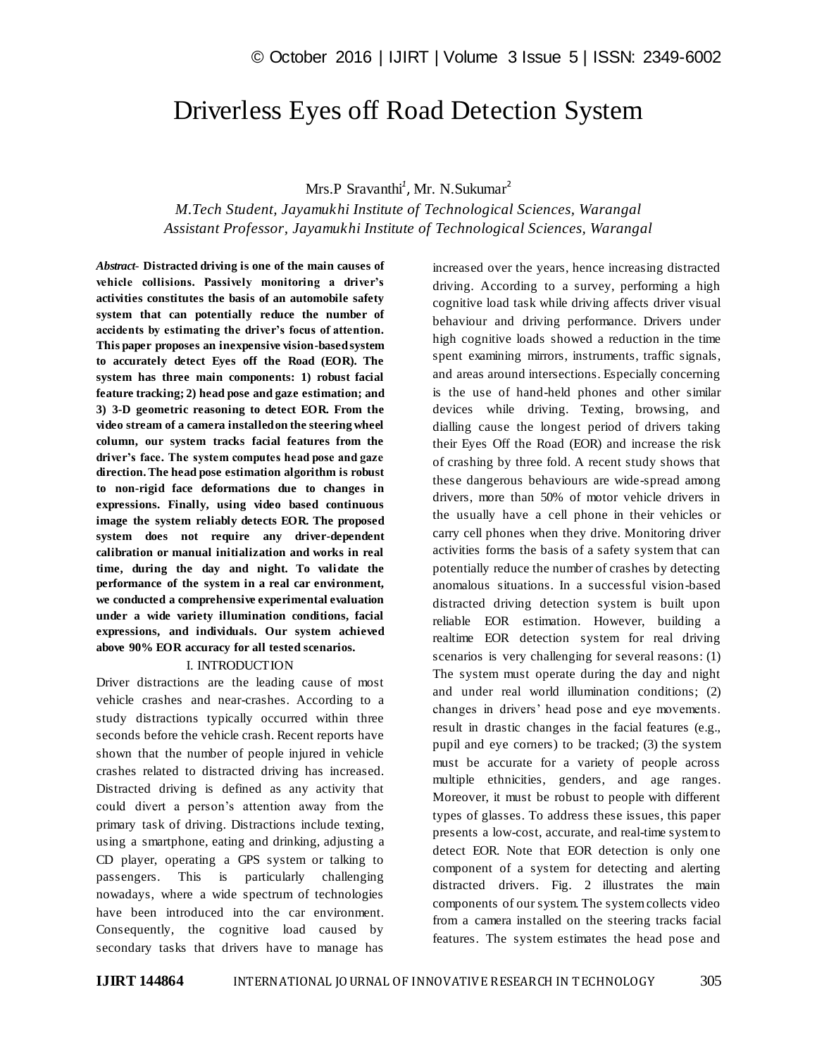# Driverless Eyes off Road Detection System

# Mrs.P Sravanthi<sup>1</sup>, Mr. N.Sukumar<sup>2</sup>

*M.Tech Student, Jayamukhi Institute of Technological Sciences, Warangal Assistant Professor, Jayamukhi Institute of Technological Sciences, Warangal*

*Abstract*- **Distracted driving is one of the main causes of vehicle collisions. Passively monitoring a driver's activities constitutes the basis of an automobile safety system that can potentially reduce the number of accidents by estimating the driver's focus of attention. This paper proposes an inexpensive vision-based system to accurately detect Eyes off the Road (EOR). The system has three main components: 1) robust facial feature tracking; 2) head pose and gaze estimation; and 3) 3-D geometric reasoning to detect EOR. From the video stream of a camera installed on the steering wheel column, our system tracks facial features from the driver's face. The system computes head pose and gaze direction. The head pose estimation algorithm is robust to non-rigid face deformations due to changes in expressions. Finally, using video based continuous image the system reliably detects EOR. The proposed system does not require any driver-dependent calibration or manual initialization and works in real time, during the day and night. To validate the performance of the system in a real car environment, we conducted a comprehensive experimental evaluation under a wide variety illumination conditions, facial expressions, and individuals. Our system achieved above 90% EOR accuracy for all tested scenarios.**

#### I. INTRODUCTION

Driver distractions are the leading cause of most vehicle crashes and near-crashes. According to a study distractions typically occurred within three seconds before the vehicle crash. Recent reports have shown that the number of people injured in vehicle crashes related to distracted driving has increased. Distracted driving is defined as any activity that could divert a person's attention away from the primary task of driving. Distractions include texting, using a smartphone, eating and drinking, adjusting a CD player, operating a GPS system or talking to passengers. This is particularly challenging nowadays, where a wide spectrum of technologies have been introduced into the car environment. Consequently, the cognitive load caused by secondary tasks that drivers have to manage has

increased over the years, hence increasing distracted driving. According to a survey, performing a high cognitive load task while driving affects driver visual behaviour and driving performance. Drivers under high cognitive loads showed a reduction in the time spent examining mirrors, instruments, traffic signals, and areas around intersections. Especially concerning is the use of hand-held phones and other similar devices while driving. Texting, browsing, and dialling cause the longest period of drivers taking their Eyes Off the Road (EOR) and increase the risk of crashing by three fold. A recent study shows that these dangerous behaviours are wide-spread among drivers, more than 50% of motor vehicle drivers in the usually have a cell phone in their vehicles or carry cell phones when they drive. Monitoring driver activities forms the basis of a safety system that can potentially reduce the number of crashes by detecting anomalous situations. In a successful vision-based distracted driving detection system is built upon reliable EOR estimation. However, building a realtime EOR detection system for real driving scenarios is very challenging for several reasons: (1) The system must operate during the day and night and under real world illumination conditions; (2) changes in drivers' head pose and eye movements. result in drastic changes in the facial features (e.g., pupil and eye corners) to be tracked; (3) the system must be accurate for a variety of people across multiple ethnicities, genders, and age ranges. Moreover, it must be robust to people with different types of glasses. To address these issues, this paper presents a low-cost, accurate, and real-time system to detect EOR. Note that EOR detection is only one component of a system for detecting and alerting distracted drivers. Fig. 2 illustrates the main components of our system. The system collects video from a camera installed on the steering tracks facial features. The system estimates the head pose and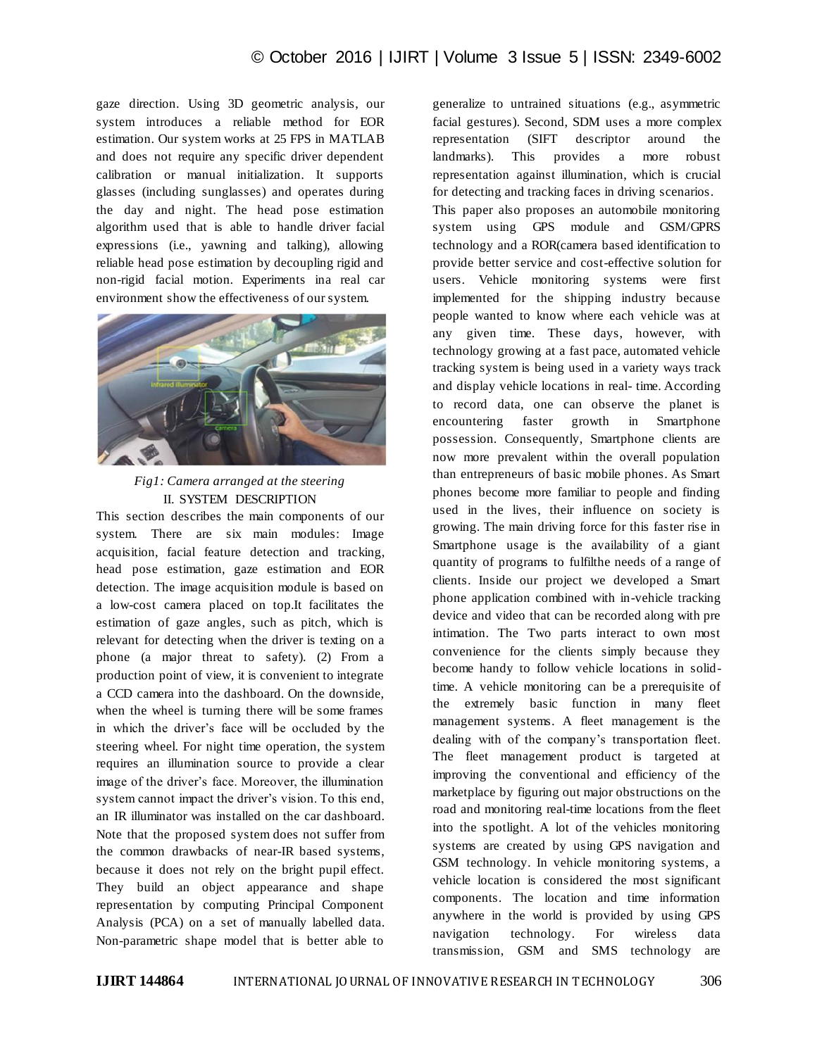gaze direction. Using 3D geometric analysis, our system introduces a reliable method for EOR estimation. Our system works at 25 FPS in MATLAB and does not require any specific driver dependent calibration or manual initialization. It supports glasses (including sunglasses) and operates during the day and night. The head pose estimation algorithm used that is able to handle driver facial expressions (i.e., yawning and talking), allowing reliable head pose estimation by decoupling rigid and non-rigid facial motion. Experiments ina real car environment show the effectiveness of our system.



# *Fig1: Camera arranged at the steering* II. SYSTEM DESCRIPTION

This section describes the main components of our system. There are six main modules: Image acquisition, facial feature detection and tracking, head pose estimation, gaze estimation and EOR detection. The image acquisition module is based on a low-cost camera placed on top.It facilitates the estimation of gaze angles, such as pitch, which is relevant for detecting when the driver is texting on a phone (a major threat to safety). (2) From a production point of view, it is convenient to integrate a CCD camera into the dashboard. On the downside, when the wheel is turning there will be some frames in which the driver's face will be occluded by the steering wheel. For night time operation, the system requires an illumination source to provide a clear image of the driver's face. Moreover, the illumination system cannot impact the driver's vision. To this end, an IR illuminator was installed on the car dashboard. Note that the proposed system does not suffer from the common drawbacks of near-IR based systems, because it does not rely on the bright pupil effect. They build an object appearance and shape representation by computing Principal Component Analysis (PCA) on a set of manually labelled data. Non-parametric shape model that is better able to

generalize to untrained situations (e.g., asymmetric facial gestures). Second, SDM uses a more complex representation (SIFT descriptor around the landmarks). This provides a more robust representation against illumination, which is crucial for detecting and tracking faces in driving scenarios.

This paper also proposes an automobile monitoring system using GPS module and GSM/GPRS technology and a ROR(camera based identification to provide better service and cost-effective solution for users. Vehicle monitoring systems were first implemented for the shipping industry because people wanted to know where each vehicle was at any given time. These days, however, with technology growing at a fast pace, automated vehicle tracking system is being used in a variety ways track and display vehicle locations in real- time. According to record data, one can observe the planet is encountering faster growth in Smartphone possession. Consequently, Smartphone clients are now more prevalent within the overall population than entrepreneurs of basic mobile phones. As Smart phones become more familiar to people and finding used in the lives, their influence on society is growing. The main driving force for this faster rise in Smartphone usage is the availability of a giant quantity of programs to fulfilthe needs of a range of clients. Inside our project we developed a Smart phone application combined with in-vehicle tracking device and video that can be recorded along with pre intimation. The Two parts interact to own most convenience for the clients simply because they become handy to follow vehicle locations in solidtime. A vehicle monitoring can be a prerequisite of the extremely basic function in many fleet management systems. A fleet management is the dealing with of the company's transportation fleet. The fleet management product is targeted at improving the conventional and efficiency of the marketplace by figuring out major obstructions on the road and monitoring real-time locations from the fleet into the spotlight. A lot of the vehicles monitoring systems are created by using GPS navigation and GSM technology. In vehicle monitoring systems, a vehicle location is considered the most significant components. The location and time information anywhere in the world is provided by using GPS navigation technology. For wireless data transmission, GSM and SMS technology are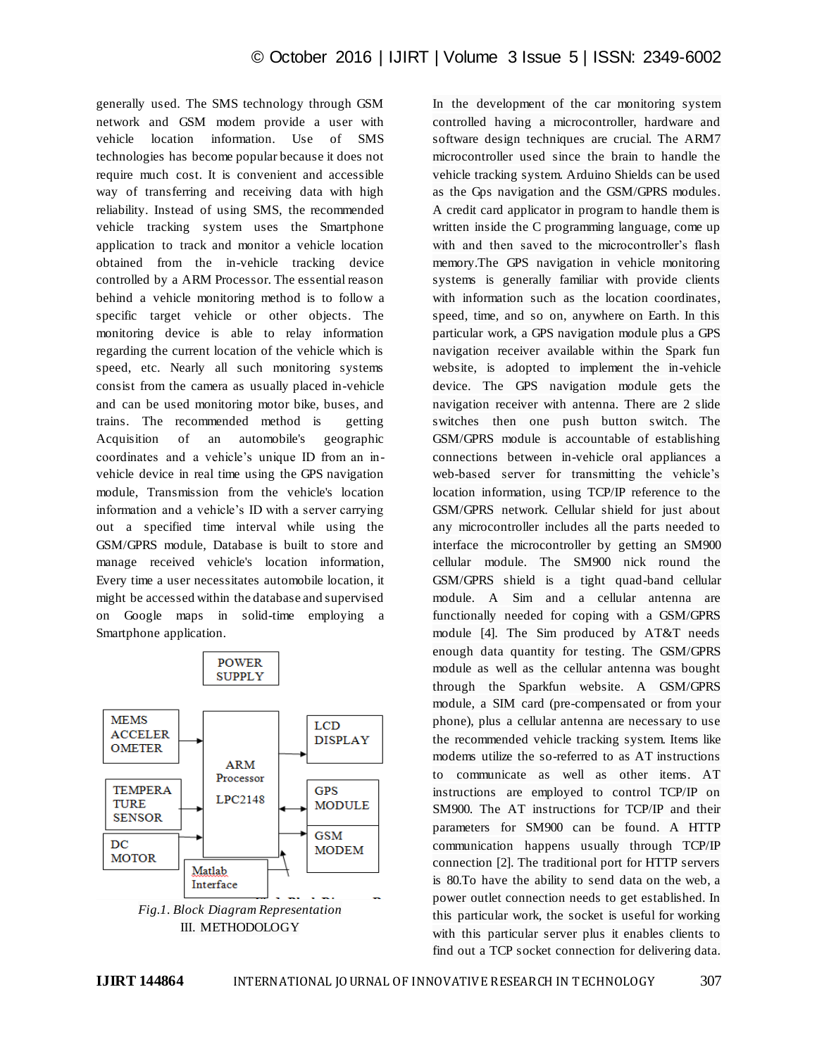generally used. The SMS technology through GSM network and GSM modem provide a user with vehicle location information. Use of SMS technologies has become popular because it does not require much cost. It is convenient and accessible way of transferring and receiving data with high reliability. Instead of using SMS, the recommended vehicle tracking system uses the Smartphone application to track and monitor a vehicle location obtained from the in-vehicle tracking device controlled by a ARM Processor. The essential reason behind a vehicle monitoring method is to follow a specific target vehicle or other objects. The monitoring device is able to relay information regarding the current location of the vehicle which is speed, etc. Nearly all such monitoring systems consist from the camera as usually placed in-vehicle and can be used monitoring motor bike, buses, and trains. The recommended method is getting Acquisition of an automobile's geographic coordinates and a vehicle's unique ID from an invehicle device in real time using the GPS navigation module, Transmission from the vehicle's location information and a vehicle's ID with a server carrying out a specified time interval while using the GSM/GPRS module, Database is built to store and manage received vehicle's location information, Every time a user necessitates automobile location, it might be accessed within the database and supervised on Google maps in solid-time employing a Smartphone application.



controlled having a microcontroller, hardware and software design techniques are crucial. The ARM7 microcontroller used since the brain to handle the vehicle tracking system. Arduino Shields can be used as the Gps navigation and the GSM/GPRS modules. A credit card applicator in program to handle them is written inside the C programming language, come up with and then saved to the microcontroller's flash memory.The GPS navigation in vehicle monitoring systems is generally familiar with provide clients with information such as the location coordinates, speed, time, and so on, anywhere on Earth. In this particular work, a GPS navigation module plus a GPS navigation receiver available within the Spark fun website, is adopted to implement the in-vehicle device. The GPS navigation module gets the navigation receiver with antenna. There are 2 slide switches then one push button switch. The GSM/GPRS module is accountable of establishing connections between in-vehicle oral appliances a web-based server for transmitting the vehicle's location information, using TCP/IP reference to the GSM/GPRS network. Cellular shield for just about any microcontroller includes all the parts needed to interface the microcontroller by getting an SM900 cellular module. The SM900 nick round the GSM/GPRS shield is a tight quad-band cellular module. A Sim and a cellular antenna are functionally needed for coping with a GSM/GPRS module [4]. The Sim produced by AT&T needs enough data quantity for testing. The GSM/GPRS module as well as the cellular antenna was bought through the Sparkfun website. A GSM/GPRS module, a SIM card (pre-compensated or from your phone), plus a cellular antenna are necessary to use the recommended vehicle tracking system. Items like modems utilize the so-referred to as AT instructions to communicate as well as other items. AT instructions are employed to control TCP/IP on SM900. The AT instructions for TCP/IP and their parameters for SM900 can be found. A HTTP communication happens usually through TCP/IP connection [2]. The traditional port for HTTP servers is 80.To have the ability to send data on the web, a power outlet connection needs to get established. In this particular work, the socket is useful for working with this particular server plus it enables clients to find out a TCP socket connection for delivering data.

In the development of the car monitoring system